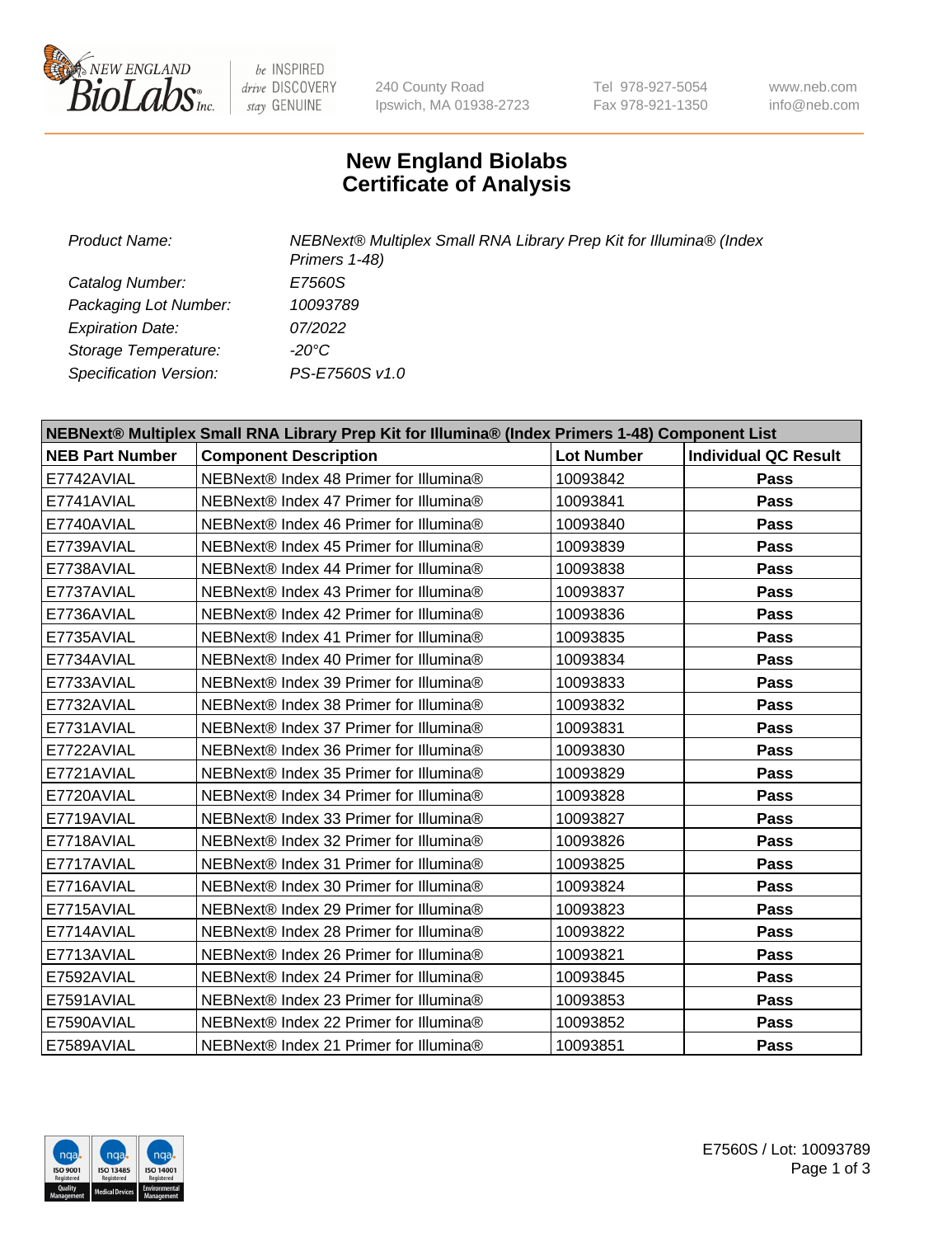

be INSPIRED drive DISCOVERY stay GENUINE

240 County Road Ipswich, MA 01938-2723 Tel 978-927-5054 Fax 978-921-1350

www.neb.com info@neb.com

## **New England Biolabs Certificate of Analysis**

*Product Name: NEBNext® Multiplex Small RNA Library Prep Kit for Illumina® (Index Primers 1-48) Catalog Number: E7560S Packaging Lot Number: 10093789 Expiration Date: 07/2022 Storage Temperature: -20°C Specification Version: PS-E7560S v1.0*

| NEBNext® Multiplex Small RNA Library Prep Kit for Illumina® (Index Primers 1-48) Component List |                                        |                   |                             |  |
|-------------------------------------------------------------------------------------------------|----------------------------------------|-------------------|-----------------------------|--|
| <b>NEB Part Number</b>                                                                          | <b>Component Description</b>           | <b>Lot Number</b> | <b>Individual QC Result</b> |  |
| E7742AVIAL                                                                                      | NEBNext® Index 48 Primer for Illumina® | 10093842          | Pass                        |  |
| E7741AVIAL                                                                                      | NEBNext® Index 47 Primer for Illumina® | 10093841          | Pass                        |  |
| E7740AVIAL                                                                                      | NEBNext® Index 46 Primer for Illumina® | 10093840          | Pass                        |  |
| E7739AVIAL                                                                                      | NEBNext® Index 45 Primer for Illumina® | 10093839          | Pass                        |  |
| E7738AVIAL                                                                                      | NEBNext® Index 44 Primer for Illumina® | 10093838          | Pass                        |  |
| E7737AVIAL                                                                                      | NEBNext® Index 43 Primer for Illumina® | 10093837          | Pass                        |  |
| E7736AVIAL                                                                                      | NEBNext® Index 42 Primer for Illumina® | 10093836          | Pass                        |  |
| E7735AVIAL                                                                                      | NEBNext® Index 41 Primer for Illumina® | 10093835          | Pass                        |  |
| E7734AVIAL                                                                                      | NEBNext® Index 40 Primer for Illumina® | 10093834          | Pass                        |  |
| E7733AVIAL                                                                                      | NEBNext® Index 39 Primer for Illumina® | 10093833          | Pass                        |  |
| E7732AVIAL                                                                                      | NEBNext® Index 38 Primer for Illumina® | 10093832          | <b>Pass</b>                 |  |
| E7731AVIAL                                                                                      | NEBNext® Index 37 Primer for Illumina® | 10093831          | Pass                        |  |
| E7722AVIAL                                                                                      | NEBNext® Index 36 Primer for Illumina® | 10093830          | Pass                        |  |
| E7721AVIAL                                                                                      | NEBNext® Index 35 Primer for Illumina® | 10093829          | Pass                        |  |
| E7720AVIAL                                                                                      | NEBNext® Index 34 Primer for Illumina® | 10093828          | Pass                        |  |
| E7719AVIAL                                                                                      | NEBNext® Index 33 Primer for Illumina® | 10093827          | Pass                        |  |
| E7718AVIAL                                                                                      | NEBNext® Index 32 Primer for Illumina® | 10093826          | <b>Pass</b>                 |  |
| E7717AVIAL                                                                                      | NEBNext® Index 31 Primer for Illumina® | 10093825          | <b>Pass</b>                 |  |
| E7716AVIAL                                                                                      | NEBNext® Index 30 Primer for Illumina® | 10093824          | Pass                        |  |
| E7715AVIAL                                                                                      | NEBNext® Index 29 Primer for Illumina® | 10093823          | <b>Pass</b>                 |  |
| E7714AVIAL                                                                                      | NEBNext® Index 28 Primer for Illumina® | 10093822          | Pass                        |  |
| E7713AVIAL                                                                                      | NEBNext® Index 26 Primer for Illumina® | 10093821          | Pass                        |  |
| E7592AVIAL                                                                                      | NEBNext® Index 24 Primer for Illumina® | 10093845          | <b>Pass</b>                 |  |
| E7591AVIAL                                                                                      | NEBNext® Index 23 Primer for Illumina® | 10093853          | Pass                        |  |
| E7590AVIAL                                                                                      | NEBNext® Index 22 Primer for Illumina® | 10093852          | <b>Pass</b>                 |  |
| E7589AVIAL                                                                                      | NEBNext® Index 21 Primer for Illumina® | 10093851          | Pass                        |  |



E7560S / Lot: 10093789 Page 1 of 3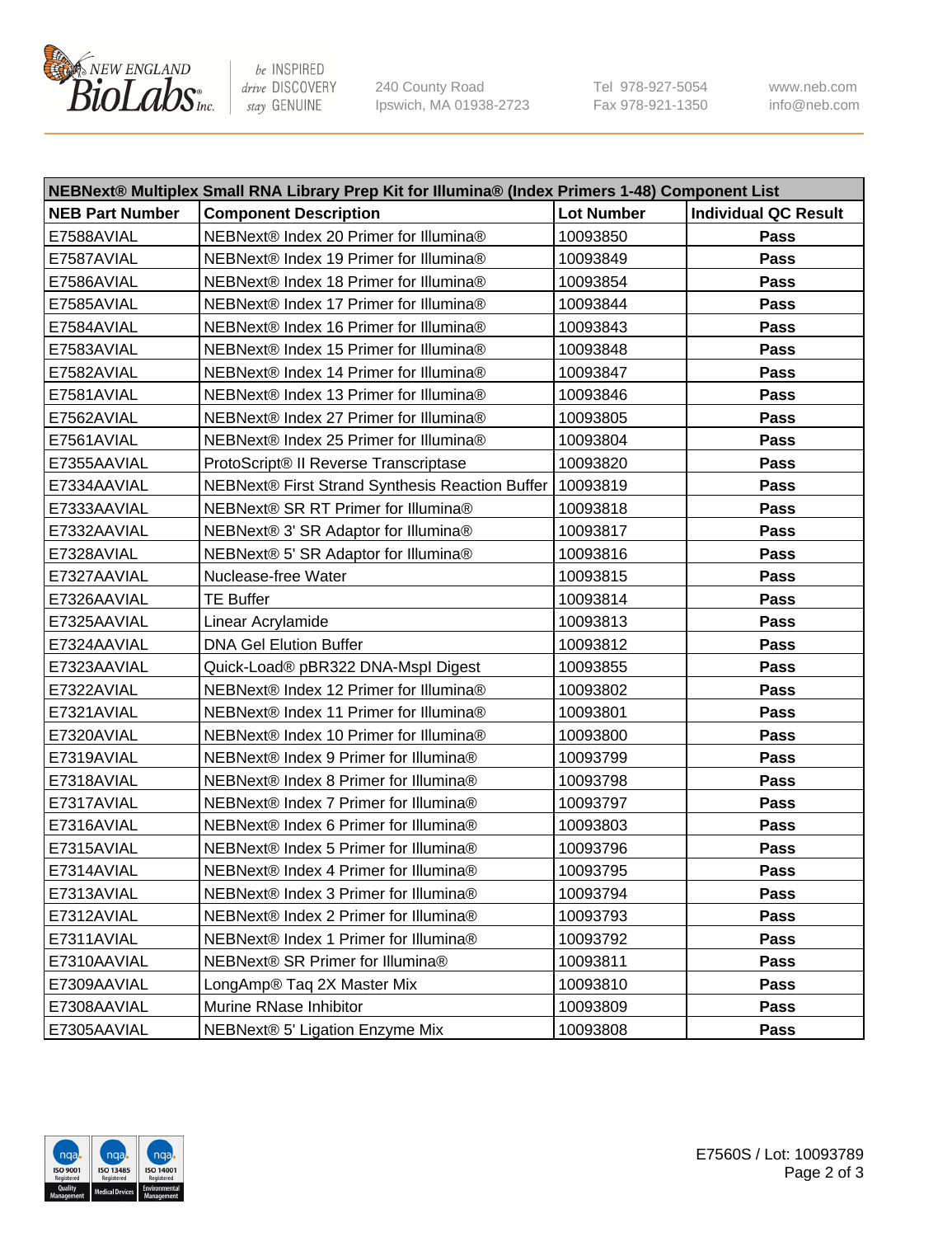

be INSPIRED drive DISCOVERY stay GENUINE

240 County Road Ipswich, MA 01938-2723 Tel 978-927-5054 Fax 978-921-1350 www.neb.com info@neb.com

| NEBNext® Multiplex Small RNA Library Prep Kit for Illumina® (Index Primers 1-48) Component List |                                                            |                   |                             |  |
|-------------------------------------------------------------------------------------------------|------------------------------------------------------------|-------------------|-----------------------------|--|
| <b>NEB Part Number</b>                                                                          | <b>Component Description</b>                               | <b>Lot Number</b> | <b>Individual QC Result</b> |  |
| E7588AVIAL                                                                                      | NEBNext® Index 20 Primer for Illumina®                     | 10093850          | Pass                        |  |
| E7587AVIAL                                                                                      | NEBNext® Index 19 Primer for Illumina®                     | 10093849          | Pass                        |  |
| E7586AVIAL                                                                                      | NEBNext® Index 18 Primer for Illumina®                     | 10093854          | Pass                        |  |
| E7585AVIAL                                                                                      | NEBNext® Index 17 Primer for Illumina®                     | 10093844          | Pass                        |  |
| E7584AVIAL                                                                                      | NEBNext® Index 16 Primer for Illumina®                     | 10093843          | Pass                        |  |
| E7583AVIAL                                                                                      | NEBNext® Index 15 Primer for Illumina®                     | 10093848          | Pass                        |  |
| E7582AVIAL                                                                                      | NEBNext® Index 14 Primer for Illumina®                     | 10093847          | Pass                        |  |
| E7581AVIAL                                                                                      | NEBNext® Index 13 Primer for Illumina®                     | 10093846          | Pass                        |  |
| E7562AVIAL                                                                                      | NEBNext® Index 27 Primer for Illumina®                     | 10093805          | Pass                        |  |
| E7561AVIAL                                                                                      | NEBNext® Index 25 Primer for Illumina®                     | 10093804          | Pass                        |  |
| E7355AAVIAL                                                                                     | ProtoScript® II Reverse Transcriptase                      | 10093820          | Pass                        |  |
| E7334AAVIAL                                                                                     | NEBNext® First Strand Synthesis Reaction Buffer   10093819 |                   | Pass                        |  |
| E7333AAVIAL                                                                                     | NEBNext® SR RT Primer for Illumina®                        | 10093818          | Pass                        |  |
| E7332AAVIAL                                                                                     | NEBNext® 3' SR Adaptor for Illumina®                       | 10093817          | Pass                        |  |
| E7328AVIAL                                                                                      | NEBNext® 5' SR Adaptor for Illumina®                       | 10093816          | Pass                        |  |
| E7327AAVIAL                                                                                     | Nuclease-free Water                                        | 10093815          | Pass                        |  |
| E7326AAVIAL                                                                                     | <b>TE Buffer</b>                                           | 10093814          | Pass                        |  |
| E7325AAVIAL                                                                                     | Linear Acrylamide                                          | 10093813          | Pass                        |  |
| E7324AAVIAL                                                                                     | <b>DNA Gel Elution Buffer</b>                              | 10093812          | Pass                        |  |
| E7323AAVIAL                                                                                     | Quick-Load® pBR322 DNA-Mspl Digest                         | 10093855          | Pass                        |  |
| E7322AVIAL                                                                                      | NEBNext® Index 12 Primer for Illumina®                     | 10093802          | Pass                        |  |
| E7321AVIAL                                                                                      | NEBNext® Index 11 Primer for Illumina®                     | 10093801          | Pass                        |  |
| E7320AVIAL                                                                                      | NEBNext® Index 10 Primer for Illumina®                     | 10093800          | Pass                        |  |
| E7319AVIAL                                                                                      | NEBNext® Index 9 Primer for Illumina®                      | 10093799          | Pass                        |  |
| E7318AVIAL                                                                                      | NEBNext® Index 8 Primer for Illumina®                      | 10093798          | Pass                        |  |
| E7317AVIAL                                                                                      | NEBNext® Index 7 Primer for Illumina®                      | 10093797          | Pass                        |  |
| E7316AVIAL                                                                                      | NEBNext® Index 6 Primer for Illumina®                      | 10093803          | Pass                        |  |
| E7315AVIAL                                                                                      | NEBNext® Index 5 Primer for Illumina®                      | 10093796          | Pass                        |  |
| E7314AVIAL                                                                                      | NEBNext® Index 4 Primer for Illumina®                      | 10093795          | Pass                        |  |
| E7313AVIAL                                                                                      | NEBNext® Index 3 Primer for Illumina®                      | 10093794          | Pass                        |  |
| E7312AVIAL                                                                                      | NEBNext® Index 2 Primer for Illumina®                      | 10093793          | Pass                        |  |
| E7311AVIAL                                                                                      | NEBNext® Index 1 Primer for Illumina®                      | 10093792          | Pass                        |  |
| E7310AAVIAL                                                                                     | NEBNext® SR Primer for Illumina®                           | 10093811          | Pass                        |  |
| E7309AAVIAL                                                                                     | LongAmp® Taq 2X Master Mix                                 | 10093810          | Pass                        |  |
| E7308AAVIAL                                                                                     | Murine RNase Inhibitor                                     | 10093809          | Pass                        |  |
| E7305AAVIAL                                                                                     | NEBNext® 5' Ligation Enzyme Mix                            | 10093808          | Pass                        |  |